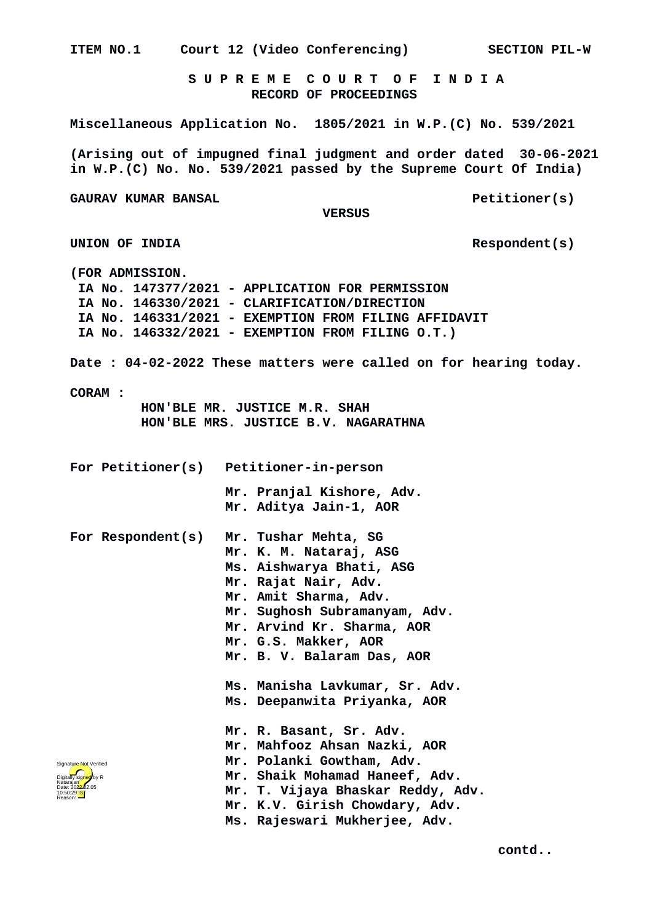**ITEM NO.1 Court 12 (Video Conferencing) SECTION PIL-W S U P R E M E C O U R T O F I N D I A RECORD OF PROCEEDINGS Miscellaneous Application No. 1805/2021 in W.P.(C) No. 539/2021 (Arising out of impugned final judgment and order dated 30-06-2021 in W.P.(C) No. No. 539/2021 passed by the Supreme Court Of India)** GAURAV KUMAR BANSAL **Petitioner(s) VERSUS UNION OF INDIA Respondent(s) (FOR ADMISSION. IA No. 147377/2021 - APPLICATION FOR PERMISSION IA No. 146330/2021 - CLARIFICATION/DIRECTION IA No. 146331/2021 - EXEMPTION FROM FILING AFFIDAVIT IA No. 146332/2021 - EXEMPTION FROM FILING O.T.) Date : 04-02-2022 These matters were called on for hearing today. CORAM : HON'BLE MR. JUSTICE M.R. SHAH HON'BLE MRS. JUSTICE B.V. NAGARATHNA For Petitioner(s) Petitioner-in-person Mr. Pranjal Kishore, Adv. Mr. Aditya Jain-1, AOR For Respondent(s) Mr. Tushar Mehta, SG Mr. K. M. Nataraj, ASG Ms. Aishwarya Bhati, ASG Mr. Rajat Nair, Adv. Mr. Amit Sharma, Adv. Mr. Sughosh Subramanyam, Adv. Mr. Arvind Kr. Sharma, AOR Mr. G.S. Makker, AOR Mr. B. V. Balaram Das, AOR Ms. Manisha Lavkumar, Sr. Adv. Ms. Deepanwita Priyanka, AOR Mr. R. Basant, Sr. Adv. Mr. Mahfooz Ahsan Nazki, AOR Mr. Polanki Gowtham, Adv. Mr. Shaik Mohamad Haneef, Adv. Mr. T. Vijaya Bhaskar Reddy, Adv. Mr. K.V. Girish Chowdary, Adv. Ms. Rajeswari Mukherjee, Adv.** Digitally signed by R Natarajan Date: 2022.02.05 10:50:29 IST Reason: Signature Not Verified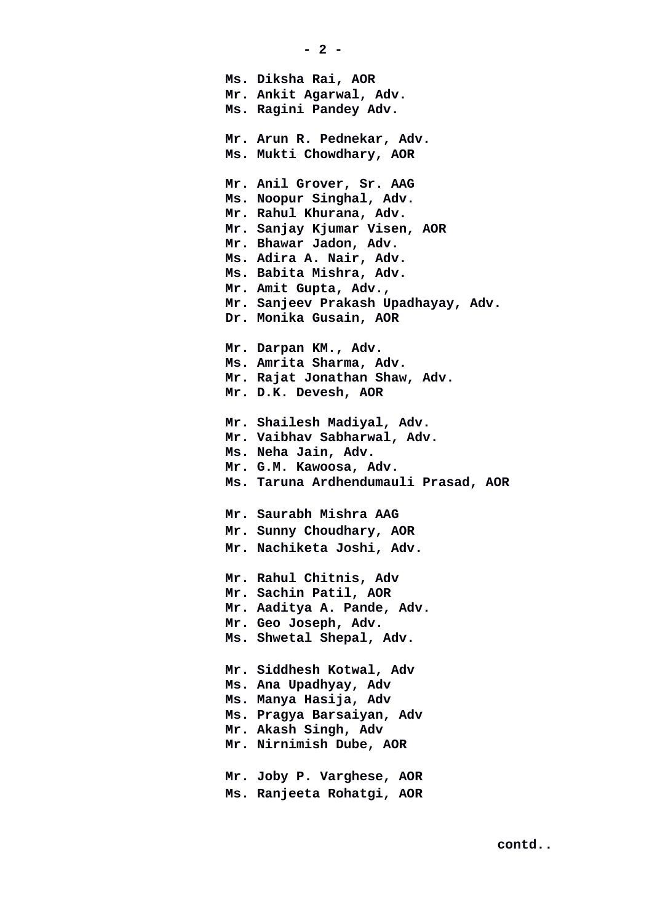**Ms. Diksha Rai, AOR Mr. Ankit Agarwal, Adv. Ms. Ragini Pandey Adv. Mr. Arun R. Pednekar, Adv. Ms. Mukti Chowdhary, AOR Mr. Anil Grover, Sr. AAG Ms. Noopur Singhal, Adv. Mr. Rahul Khurana, Adv. Mr. Sanjay Kjumar Visen, AOR Mr. Bhawar Jadon, Adv. Ms. Adira A. Nair, Adv. Ms. Babita Mishra, Adv. Mr. Amit Gupta, Adv., Mr. Sanjeev Prakash Upadhayay, Adv. Dr. Monika Gusain, AOR Mr. Darpan KM., Adv. Ms. Amrita Sharma, Adv. Mr. Rajat Jonathan Shaw, Adv. Mr. D.K. Devesh, AOR Mr. Shailesh Madiyal, Adv. Mr. Vaibhav Sabharwal, Adv. Ms. Neha Jain, Adv. Mr. G.M. Kawoosa, Adv. Ms. Taruna Ardhendumauli Prasad, AOR Mr. Saurabh Mishra AAG Mr. Sunny Choudhary, AOR Mr. Nachiketa Joshi, Adv. Mr. Rahul Chitnis, Adv Mr. Sachin Patil, AOR Mr. Aaditya A. Pande, Adv. Mr. Geo Joseph, Adv. Ms. Shwetal Shepal, Adv. Mr. Siddhesh Kotwal, Adv Ms. Ana Upadhyay, Adv Ms. Manya Hasija, Adv Ms. Pragya Barsaiyan, Adv Mr. Akash Singh, Adv Mr. Nirnimish Dube, AOR Mr. Joby P. Varghese, AOR Ms. Ranjeeta Rohatgi, AOR**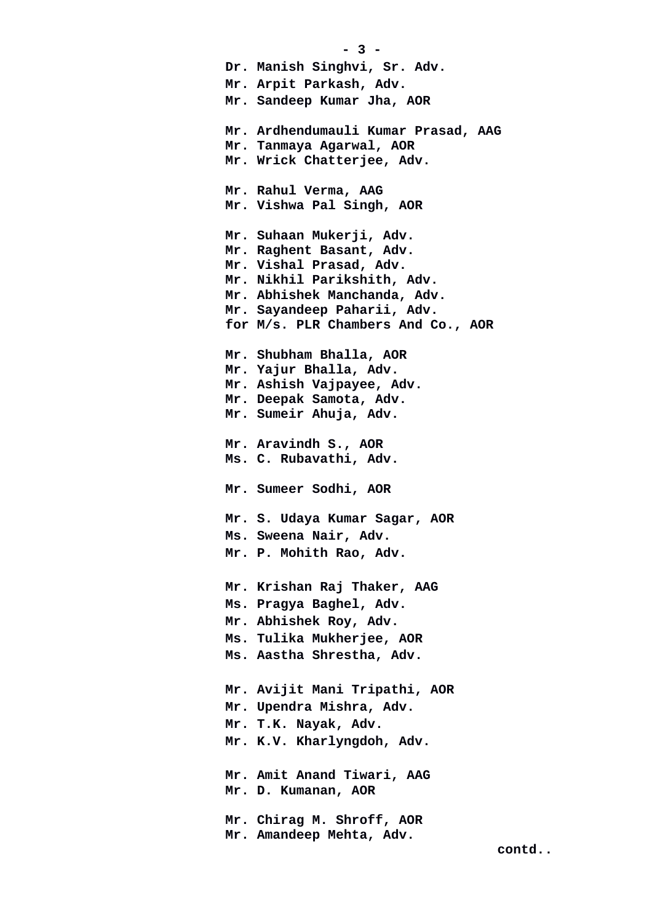**- 3 - Dr. Manish Singhvi, Sr. Adv. Mr. Arpit Parkash, Adv. Mr. Sandeep Kumar Jha, AOR Mr. Ardhendumauli Kumar Prasad, AAG Mr. Tanmaya Agarwal, AOR Mr. Wrick Chatterjee, Adv. Mr. Rahul Verma, AAG Mr. Vishwa Pal Singh, AOR Mr. Suhaan Mukerji, Adv. Mr. Raghent Basant, Adv. Mr. Vishal Prasad, Adv. Mr. Nikhil Parikshith, Adv. Mr. Abhishek Manchanda, Adv. Mr. Sayandeep Paharii, Adv. for M/s. PLR Chambers And Co., AOR Mr. Shubham Bhalla, AOR Mr. Yajur Bhalla, Adv. Mr. Ashish Vajpayee, Adv. Mr. Deepak Samota, Adv. Mr. Sumeir Ahuja, Adv. Mr. Aravindh S., AOR Ms. C. Rubavathi, Adv. Mr. Sumeer Sodhi, AOR Mr. S. Udaya Kumar Sagar, AOR Ms. Sweena Nair, Adv. Mr. P. Mohith Rao, Adv. Mr. Krishan Raj Thaker, AAG Ms. Pragya Baghel, Adv. Mr. Abhishek Roy, Adv. Ms. Tulika Mukherjee, AOR Ms. Aastha Shrestha, Adv. Mr. Avijit Mani Tripathi, AOR Mr. Upendra Mishra, Adv. Mr. T.K. Nayak, Adv. Mr. K.V. Kharlyngdoh, Adv. Mr. Amit Anand Tiwari, AAG Mr. D. Kumanan, AOR Mr. Chirag M. Shroff, AOR Mr. Amandeep Mehta, Adv.**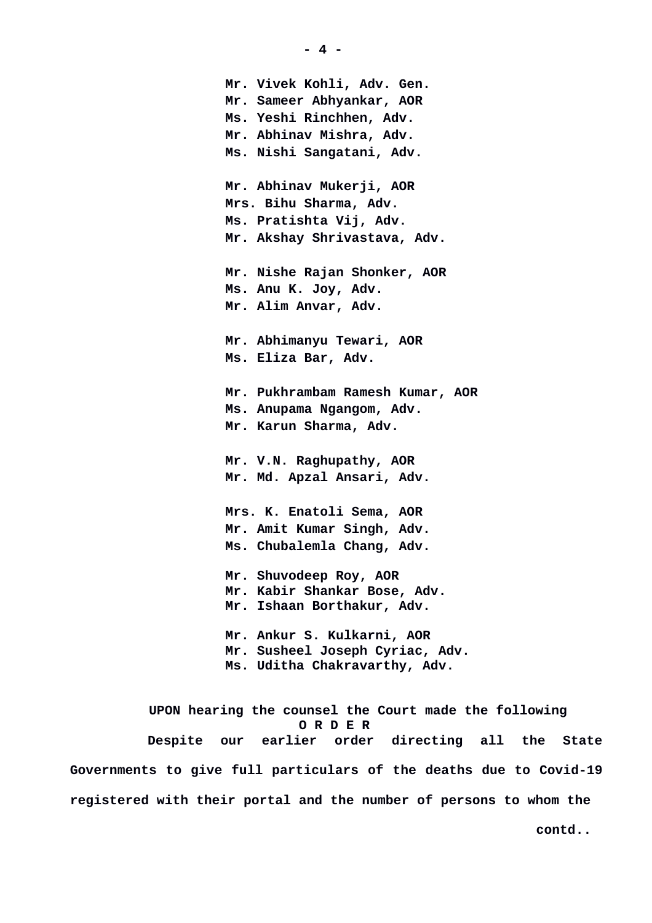**Mr. Vivek Kohli, Adv. Gen. Mr. Sameer Abhyankar, AOR Ms. Yeshi Rinchhen, Adv. Mr. Abhinav Mishra, Adv. Ms. Nishi Sangatani, Adv. Mr. Abhinav Mukerji, AOR Mrs. Bihu Sharma, Adv. Ms. Pratishta Vij, Adv. Mr. Akshay Shrivastava, Adv. Mr. Nishe Rajan Shonker, AOR Ms. Anu K. Joy, Adv. Mr. Alim Anvar, Adv. Mr. Abhimanyu Tewari, AOR Ms. Eliza Bar, Adv. Mr. Pukhrambam Ramesh Kumar, AOR Ms. Anupama Ngangom, Adv. Mr. Karun Sharma, Adv. Mr. V.N. Raghupathy, AOR Mr. Md. Apzal Ansari, Adv. Mrs. K. Enatoli Sema, AOR Mr. Amit Kumar Singh, Adv. Ms. Chubalemla Chang, Adv. Mr. Shuvodeep Roy, AOR Mr. Kabir Shankar Bose, Adv. Mr. Ishaan Borthakur, Adv. Mr. Ankur S. Kulkarni, AOR Mr. Susheel Joseph Cyriac, Adv. Ms. Uditha Chakravarthy, Adv.**

 **UPON hearing the counsel the Court made the following O R D E R Despite our earlier order directing all the State Governments to give full particulars of the deaths due to Covid-19 registered with their portal and the number of persons to whom the**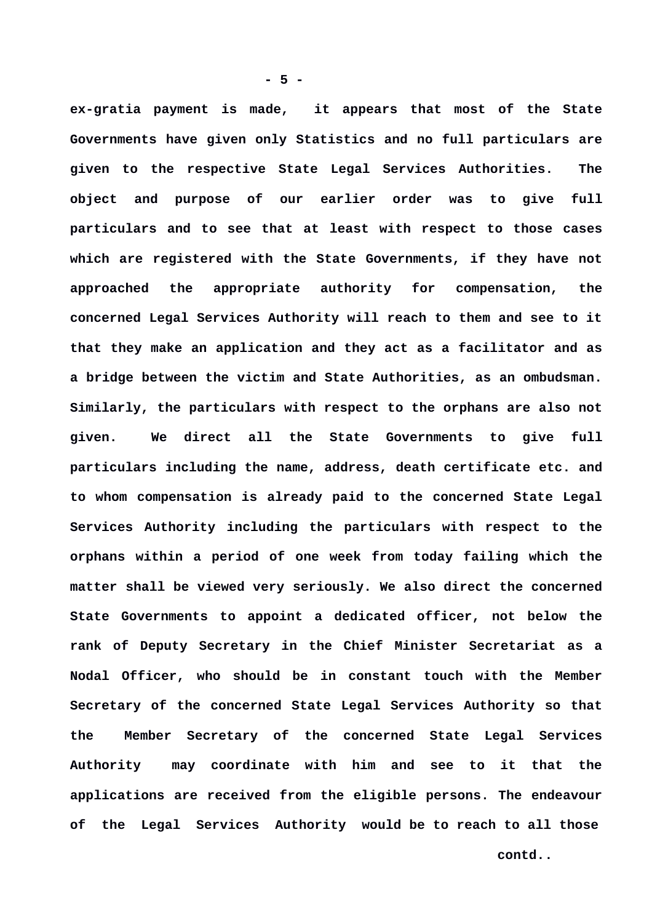**ex-gratia payment is made, it appears that most of the State Governments have given only Statistics and no full particulars are given to the respective State Legal Services Authorities. The object and purpose of our earlier order was to give full particulars and to see that at least with respect to those cases which are registered with the State Governments, if they have not approached the appropriate authority for compensation, the concerned Legal Services Authority will reach to them and see to it that they make an application and they act as a facilitator and as a bridge between the victim and State Authorities, as an ombudsman. Similarly, the particulars with respect to the orphans are also not given. We direct all the State Governments to give full particulars including the name, address, death certificate etc. and to whom compensation is already paid to the concerned State Legal Services Authority including the particulars with respect to the orphans within a period of one week from today failing which the matter shall be viewed very seriously. We also direct the concerned State Governments to appoint a dedicated officer, not below the rank of Deputy Secretary in the Chief Minister Secretariat as a Nodal Officer, who should be in constant touch with the Member Secretary of the concerned State Legal Services Authority so that the Member Secretary of the concerned State Legal Services Authority may coordinate with him and see to it that the applications are received from the eligible persons. The endeavour of the Legal Services Authority would be to reach to all those**

**- 5 -**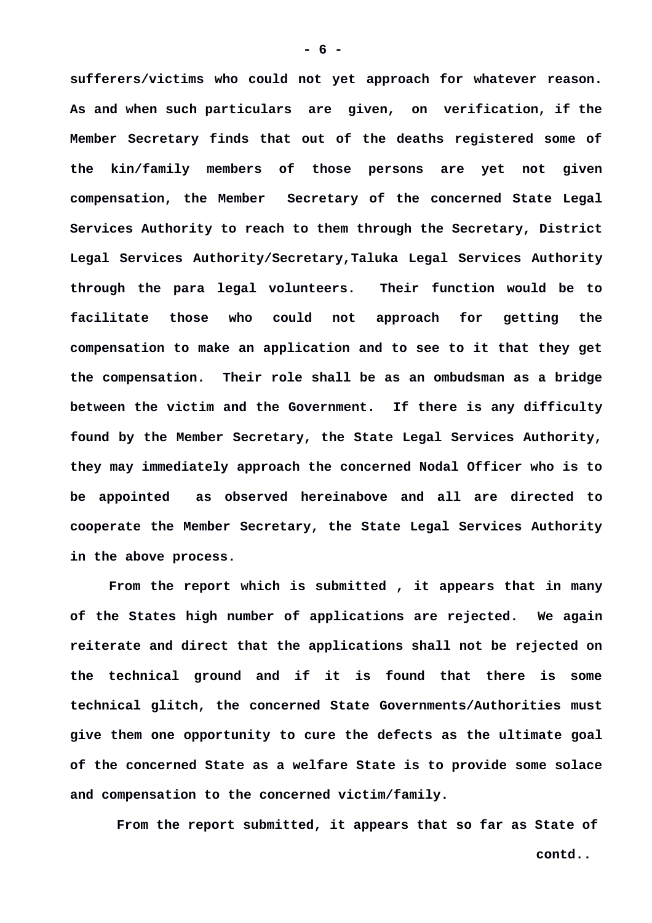**sufferers/victims who could not yet approach for whatever reason. As and when such particulars are given, on verification, if the Member Secretary finds that out of the deaths registered some of the kin/family members of those persons are yet not given compensation, the Member Secretary of the concerned State Legal Services Authority to reach to them through the Secretary, District Legal Services Authority/Secretary,Taluka Legal Services Authority through the para legal volunteers. Their function would be to facilitate those who could not approach for getting the compensation to make an application and to see to it that they get the compensation. Their role shall be as an ombudsman as a bridge between the victim and the Government. If there is any difficulty found by the Member Secretary, the State Legal Services Authority, they may immediately approach the concerned Nodal Officer who is to be appointed as observed hereinabove and all are directed to cooperate the Member Secretary, the State Legal Services Authority in the above process.**

**From the report which is submitted , it appears that in many of the States high number of applications are rejected. We again reiterate and direct that the applications shall not be rejected on the technical ground and if it is found that there is some technical glitch, the concerned State Governments/Authorities must give them one opportunity to cure the defects as the ultimate goal of the concerned State as a welfare State is to provide some solace and compensation to the concerned victim/family.** 

 **From the report submitted, it appears that so far as State of**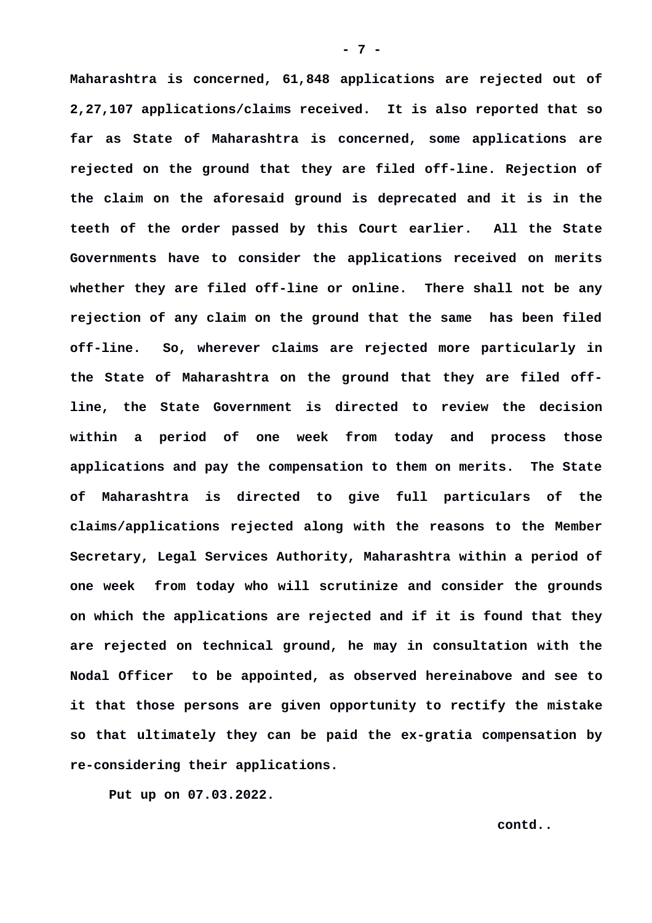**Maharashtra is concerned, 61,848 applications are rejected out of 2,27,107 applications/claims received. It is also reported that so far as State of Maharashtra is concerned, some applications are rejected on the ground that they are filed off-line. Rejection of the claim on the aforesaid ground is deprecated and it is in the teeth of the order passed by this Court earlier. All the State Governments have to consider the applications received on merits whether they are filed off-line or online. There shall not be any rejection of any claim on the ground that the same has been filed off-line. So, wherever claims are rejected more particularly in the State of Maharashtra on the ground that they are filed offline, the State Government is directed to review the decision within a period of one week from today and process those applications and pay the compensation to them on merits. The State of Maharashtra is directed to give full particulars of the claims/applications rejected along with the reasons to the Member Secretary, Legal Services Authority, Maharashtra within a period of one week from today who will scrutinize and consider the grounds on which the applications are rejected and if it is found that they are rejected on technical ground, he may in consultation with the Nodal Officer to be appointed, as observed hereinabove and see to it that those persons are given opportunity to rectify the mistake so that ultimately they can be paid the ex-gratia compensation by re-considering their applications.**

**Put up on 07.03.2022.**

**contd..**

**- 7 -**